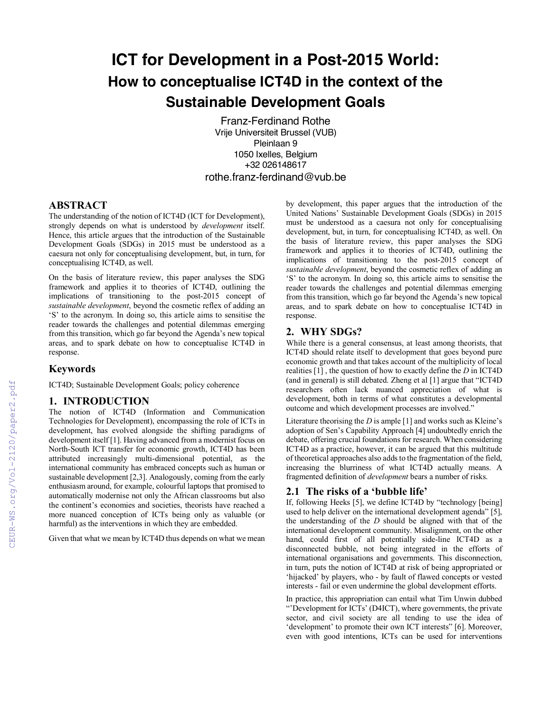# **ICT for Development in a Post-2015 World: How to conceptualise ICT4D in the context of the Sustainable Development Goals**

Franz-Ferdinand Rothe Vrije Universiteit Brussel (VUB) Pleinlaan 9 1050 Ixelles, Belgium +32 026148617 rothe.franz-ferdinand@vub.be

### **ABSTRACT**

The understanding of the notion of ICT4D (ICT for Development), strongly depends on what is understood by *development* itself. Hence, this article argues that the introduction of the Sustainable Development Goals (SDGs) in 2015 must be understood as a caesura not only for conceptualising development, but, in turn, for conceptualising ICT4D, as well.

On the basis of literature review, this paper analyses the SDG framework and applies it to theories of ICT4D, outlining the implications of transitioning to the post-2015 concept of *sustainable development*, beyond the cosmetic reflex of adding an 'S' to the acronym. In doing so, this article aims to sensitise the reader towards the challenges and potential dilemmas emerging from this transition, which go far beyond the Agenda's new topical areas, and to spark debate on how to conceptualise ICT4D in response.

#### **Keywords**

ICT4D; Sustainable Development Goals; policy coherence

#### **1. INTRODUCTION**

The notion of ICT4D (Information and Communication Technologies for Development), encompassing the role of ICTs in development, has evolved alongside the shifting paradigms of development itself [1]. Having advanced from a modernist focus on North-South ICT transfer for economic growth, ICT4D has been attributed increasingly multi-dimensional potential, as the international community has embraced concepts such as human or sustainable development [2,3]. Analogously, coming from the early enthusiasm around, for example, colourful laptops that promised to automatically modernise not only the African classrooms but also the continent's economies and societies, theorists have reached a more nuanced conception of ICTs being only as valuable (or harmful) as the interventions in which they are embedded.

Given that what we mean by ICT4D thus depends on what we mean

by development, this paper argues that the introduction of the United Nations' Sustainable Development Goals (SDGs) in 2015 must be understood as a caesura not only for conceptualising development, but, in turn, for conceptualising ICT4D, as well. On the basis of literature review, this paper analyses the SDG framework and applies it to theories of ICT4D, outlining the implications of transitioning to the post-2015 concept of *sustainable development*, beyond the cosmetic reflex of adding an 'S' to the acronym. In doing so, this article aims to sensitise the reader towards the challenges and potential dilemmas emerging from this transition, which go far beyond the Agenda's new topical areas, and to spark debate on how to conceptualise ICT4D in response.

## **2. WHY SDGs?**

While there is a general consensus, at least among theorists, that ICT4D should relate itself to development that goes beyond pure economic growth and that takes account of the multiplicity of local realities [1] , the question of how to exactly define the *D* in ICT4D (and in general) is still debated. Zheng et al [1] argue that "ICT4D researchers often lack nuanced appreciation of what is development, both in terms of what constitutes a developmental outcome and which development processes are involved."

Literature theorising the *D* is ample [1] and works such as Kleine's adoption of Sen's Capability Approach [4] undoubtedly enrich the debate, offering crucial foundations for research. When considering ICT4D as a practice, however, it can be argued that this multitude of theoretical approaches also adds to the fragmentation of the field, increasing the blurriness of what ICT4D actually means. A fragmented definition of *development* bears a number of risks.

#### **2.1 The risks of a 'bubble life'**

If, following Heeks [5], we define ICT4D by "technology [being] used to help deliver on the international development agenda" [5], the understanding of the *D* should be aligned with that of the international development community. Misalignment, on the other hand, could first of all potentially side-line ICT4D as a disconnected bubble, not being integrated in the efforts of international organisations and governments. This disconnection, in turn, puts the notion of ICT4D at risk of being appropriated or 'hijacked' by players, who - by fault of flawed concepts or vested interests - fail or even undermine the global development efforts.

In practice, this appropriation can entail what Tim Unwin dubbed "'Development for ICTs' (D4ICT), where governments, the private sector, and civil society are all tending to use the idea of 'development' to promote their own ICT interests" [6]. Moreover, even with good intentions, ICTs can be used for interventions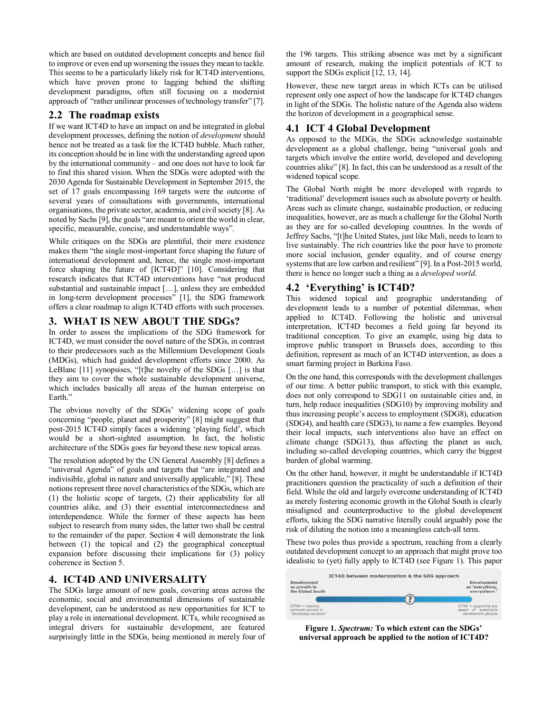which are based on outdated development concepts and hence fail to improve or even end up worsening the issues they mean to tackle. This seems to be a particularly likely risk for ICT4D interventions, which have proven prone to lagging behind the shifting development paradigms, often still focusing on a modernist approach of "rather unilinear processes of technology transfer" [7].

## **2.2 The roadmap exists**

If we want ICT4D to have an impact on and be integrated in global development processes, defining the notion of *development* should hence not be treated as a task for the ICT4D bubble. Much rather, its conception should be in line with the understanding agreed upon by the international community – and one does not have to look far to find this shared vision. When the SDGs were adopted with the 2030 Agenda for Sustainable Development in September 2015, the set of 17 goals encompassing 169 targets were the outcome of several years of consultations with governments, international organisations, the private sector, academia, and civil society [8]. As noted by Sachs [9], the goals "are meant to orient the world in clear, specific, measurable, concise, and understandable ways".

While critiques on the SDGs are plentiful, their mere existence makes them "the single most-important force shaping the future of international development and, hence, the single most-important force shaping the future of [ICT4D]" [10]. Considering that research indicates that ICT4D interventions have "not produced substantial and sustainable impact […], unless they are embedded in long-term development processes" [1], the SDG framework offers a clear roadmap to align ICT4D efforts with such processes.

# **3. WHAT IS NEW ABOUT THE SDGs?**

In order to assess the implications of the SDG framework for ICT4D, we must consider the novel nature of the SDGs, in contrast to their predecessors such as the Millennium Development Goals (MDGs), which had guided development efforts since 2000. As LeBlanc [11] synopsises, "[t]he novelty of the SDGs […] is that they aim to cover the whole sustainable development universe, which includes basically all areas of the human enterprise on Earth."

The obvious novelty of the SDGs' widening scope of goals concerning "people, planet and prosperity" [8] might suggest that post-2015 ICT4D simply faces a widening 'playing field', which would be a short-sighted assumption. In fact, the holistic architecture of the SDGs goes far beyond these new topical areas.

The resolution adopted by the UN General Assembly [8] defines a "universal Agenda" of goals and targets that "are integrated and indivisible, global in nature and universally applicable," [8]. These notions represent three novel characteristics of the SDGs, which are (1) the holistic scope of targets, (2) their applicability for all countries alike, and (3) their essential interconnectedness and interdependence. While the former of these aspects has been subject to research from many sides, the latter two shall be central to the remainder of the paper. Section 4 will demonstrate the link between (1) the topical and (2) the geographical conceptual expansion before discussing their implications for (3) policy coherence in Section 5.

## **4. ICT4D AND UNIVERSALITY**

The SDGs large amount of new goals, covering areas across the economic, social and environmental dimensions of sustainable development, can be understood as new opportunities for ICT to play a role in international development. ICTs, while recognised as integral drivers for sustainable development, are featured surprisingly little in the SDGs, being mentioned in merely four of the 196 targets. This striking absence was met by a significant amount of research, making the implicit potentials of ICT to support the SDGs explicit [12, 13, 14].

However, these new target areas in which ICTs can be utilised represent only one aspect of how the landscape for ICT4D changes in light of the SDGs. The holistic nature of the Agenda also widens the horizon of development in a geographical sense.

## **4.1 ICT 4 Global Development**

As opposed to the MDGs, the SDGs acknowledge sustainable development as a global challenge, being "universal goals and targets which involve the entire world, developed and developing countries alike" [8]. In fact, this can be understood as a result of the widened topical scope.

The Global North might be more developed with regards to 'traditional' development issues such as absolute poverty or health. Areas such as climate change, sustainable production, or reducing inequalities, however, are as much a challenge for the Global North as they are for so-called developing countries. In the words of Jeffrey Sachs, "[t]he United States, just like Mali, needs to learn to live sustainably. The rich countries like the poor have to promote more social inclusion, gender equality, and of course energy systems that are low carbon and resilient" [9]. In a Post-2015 world, there is hence no longer such a thing as a *developed world*.

# **4.2 'Everything' is ICT4D?**

This widened topical and geographic understanding of development leads to a number of potential dilemmas, when applied to ICT4D. Following the holistic and universal interpretation, ICT4D becomes a field going far beyond its traditional conception. To give an example, using big data to improve public transport in Brussels does, according to this definition, represent as much of an ICT4D intervention, as does a smart farming project in Burkina Faso.

On the one hand, this corresponds with the development challenges of our time. A better public transport, to stick with this example, does not only correspond to SDG11 on sustainable cities and, in turn, help reduce inequalities (SDG10) by improving mobility and thus increasing people's access to employment (SDG8), education (SDG4), and health care (SDG3), to name a few examples. Beyond their local impacts, such interventions also have an effect on climate change (SDG13), thus affecting the planet as such, including so-called developing countries, which carry the biggest burden of global warming.

On the other hand, however, it might be understandable if ICT4D practitioners question the practicality of such a definition of their field. While the old and largely overcome understanding of ICT4D as merely fostering economic growth in the Global South is clearly misaligned and counterproductive to the global development efforts, taking the SDG narrative literally could arguably pose the risk of diluting the notion into a meaningless catch-all term.

These two poles thus provide a spectrum, reaching from a clearly outdated development concept to an approach that might prove too idealistic to (yet) fully apply to ICT4D (see Figure 1). This paper

|                                                                     | ICT4D between modernization & the SDG approach |                                                                           |
|---------------------------------------------------------------------|------------------------------------------------|---------------------------------------------------------------------------|
| Development<br>as growth in<br>the Global South                     |                                                | Development<br>as 'everything,<br>everywhere'                             |
|                                                                     |                                                |                                                                           |
| $ICT4D = reducing$<br>economic poverty in<br>"developing countries" |                                                | $ICT4D = supportina$ any<br>aspect of sustainable<br>development globally |

**Figure 1.** *Spectrum:* **To which extent can the SDGs' universal approach be applied to the notion of ICT4D?**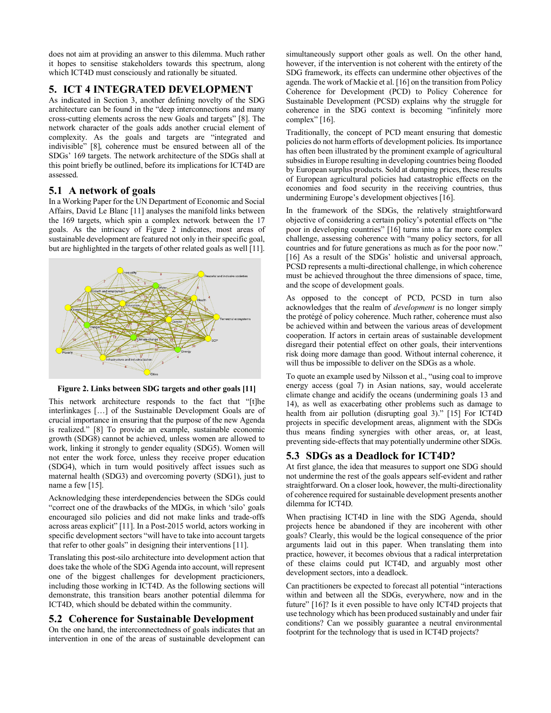does not aim at providing an answer to this dilemma. Much rather it hopes to sensitise stakeholders towards this spectrum, along which ICT4D must consciously and rationally be situated.

# **5. ICT 4 INTEGRATED DEVELOPMENT**

As indicated in Section 3, another defining novelty of the SDG architecture can be found in the "deep interconnections and many cross-cutting elements across the new Goals and targets" [8]. The network character of the goals adds another crucial element of complexity. As the goals and targets are "integrated and indivisible" [8], coherence must be ensured between all of the SDGs' 169 targets. The network architecture of the SDGs shall at this point briefly be outlined, before its implications for ICT4D are assessed.

## **5.1 A network of goals**

In a Working Paper for the UN Department of Economic and Social Affairs, David Le Blanc [11] analyses the manifold links between the 169 targets, which spin a complex network between the 17 goals. As the intricacy of Figure 2 indicates, most areas of sustainable development are featured not only in their specific goal, but are highlighted in the targets of other related goals as well [11].



**Figure 2. Links between SDG targets and other goals [11]** 

This network architecture responds to the fact that "[t]he interlinkages […] of the Sustainable Development Goals are of crucial importance in ensuring that the purpose of the new Agenda is realized." [8] To provide an example, sustainable economic growth (SDG8) cannot be achieved, unless women are allowed to work, linking it strongly to gender equality (SDG5). Women will not enter the work force, unless they receive proper education (SDG4), which in turn would positively affect issues such as maternal health (SDG3) and overcoming poverty (SDG1), just to name a few [15].

Acknowledging these interdependencies between the SDGs could "correct one of the drawbacks of the MDGs, in which 'silo' goals encouraged silo policies and did not make links and trade-offs across areas explicit" [11]. In a Post-2015 world, actors working in specific development sectors "will have to take into account targets that refer to other goals" in designing their interventions [11].

Translating this post-silo architecture into development action that does take the whole of the SDG Agenda into account, will represent one of the biggest challenges for development practicioners, including those working in ICT4D. As the following sections will demonstrate, this transition bears another potential dilemma for ICT4D, which should be debated within the community.

# **5.2 Coherence for Sustainable Development**

On the one hand, the interconnectedness of goals indicates that an intervention in one of the areas of sustainable development can

simultaneously support other goals as well. On the other hand, however, if the intervention is not coherent with the entirety of the SDG framework, its effects can undermine other objectives of the agenda. The work of Mackie et al. [16] on the transition from Policy Coherence for Development (PCD) to Policy Coherence for Sustainable Development (PCSD) explains why the struggle for coherence in the SDG context is becoming "infinitely more complex" [16].

Traditionally, the concept of PCD meant ensuring that domestic policies do not harm efforts of development policies. Its importance has often been illustrated by the prominent example of agricultural subsidies in Europe resulting in developing countries being flooded by European surplus products. Sold at dumping prices, these results of European agricultural policies had catastrophic effects on the economies and food security in the receiving countries, thus undermining Europe's development objectives [16].

In the framework of the SDGs, the relatively straightforward objective of considering a certain policy's potential effects on "the poor in developing countries" [16] turns into a far more complex challenge, assessing coherence with "many policy sectors, for all countries and for future generations as much as for the poor now." [16] As a result of the SDGs' holistic and universal approach, PCSD represents a multi-directional challenge, in which coherence must be achieved throughout the three dimensions of space, time, and the scope of development goals.

As opposed to the concept of PCD, PCSD in turn also acknowledges that the realm of *development* is no longer simply the protégé of policy coherence. Much rather, coherence must also be achieved within and between the various areas of development cooperation. If actors in certain areas of sustainable development disregard their potential effect on other goals, their interventions risk doing more damage than good. Without internal coherence, it will thus be impossible to deliver on the SDGs as a whole.

To quote an example used by Nilsson et al., "using coal to improve energy access (goal 7) in Asian nations, say, would accelerate climate change and acidify the oceans (undermining goals 13 and 14), as well as exacerbating other problems such as damage to health from air pollution (disrupting goal 3)." [15] For ICT4D projects in specific development areas, alignment with the SDGs thus means finding synergies with other areas, or, at least, preventing side-effects that may potentially undermine other SDGs.

# **5.3 SDGs as a Deadlock for ICT4D?**

At first glance, the idea that measures to support one SDG should not undermine the rest of the goals appears self-evident and rather straightforward. On a closer look, however, the multi-directionality of coherence required for sustainable development presents another dilemma for ICT4D.

When practising ICT4D in line with the SDG Agenda, should projects hence be abandoned if they are incoherent with other goals? Clearly, this would be the logical consequence of the prior arguments laid out in this paper. When translating them into practice, however, it becomes obvious that a radical interpretation of these claims could put ICT4D, and arguably most other development sectors, into a deadlock.

Can practitioners be expected to forecast all potential "interactions within and between all the SDGs, everywhere, now and in the future" [16]? Is it even possible to have only ICT4D projects that use technology which has been produced sustainably and under fair conditions? Can we possibly guarantee a neutral environmental footprint for the technology that is used in ICT4D projects?